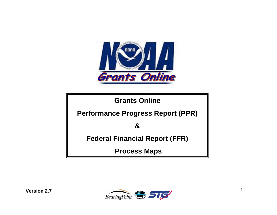

**Grants Online** 

**Performance Progress Report (PPR)**

**&**

**Federal Financial Report (FFR)**

**Process Maps**

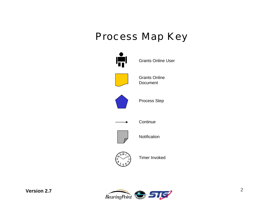# Process Map Key



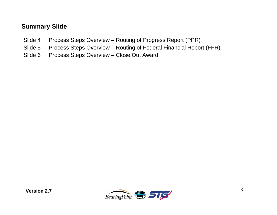## **Summary Slide**

- Slide 4 Process Steps Overview Routing of Progress Report (PPR)
- Slide 5 Process Steps Overview Routing of Federal Financial Report (FFR)
- Slide 6 Process Steps Overview Close Out Award

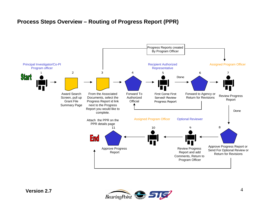### **Process Steps Overview – Routing of Progress Report (PPR)**



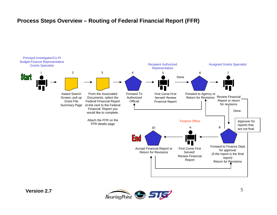#### **Process Steps Overview – Routing of Federal Financial Report (FFR)**